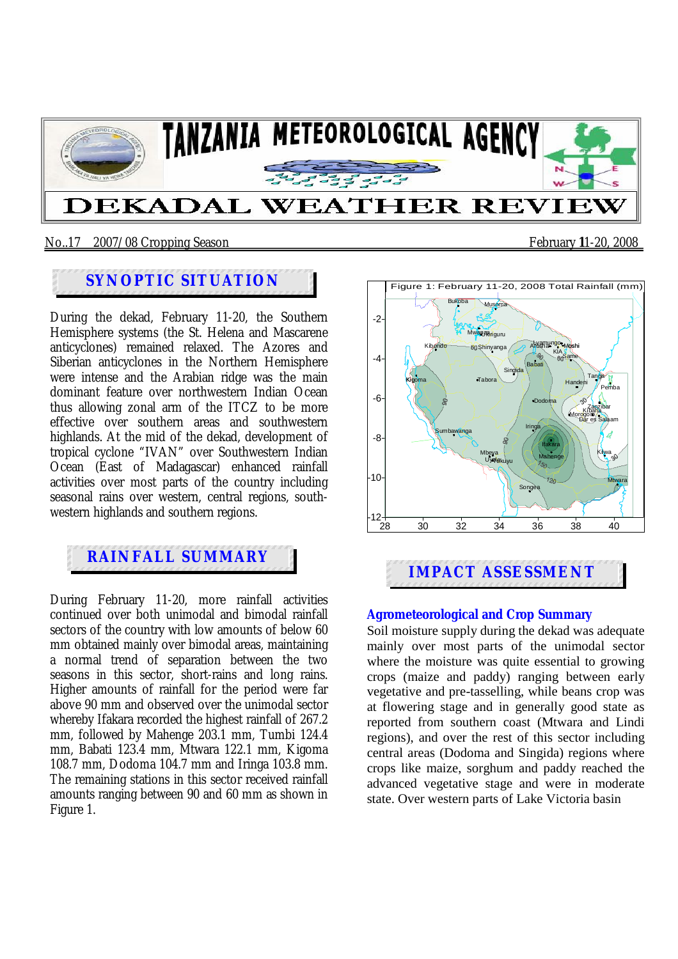

#### No..17 2007/08 Cropping Season February **1**1-20, 2008

## **SYNOPTIC SITUATION**

During the dekad, February 11-20, the Southern Hemisphere systems (the St. Helena and Mascarene anticyclones) remained relaxed. The Azores and Siberian anticyclones in the Northern Hemisphere were intense and the Arabian ridge was the main dominant feature over northwestern Indian Ocean thus allowing zonal arm of the ITCZ to be more effective over southern areas and southwestern highlands. At the mid of the dekad, development of tropical cyclone "IVAN" over Southwestern Indian Ocean (East of Madagascar) enhanced rainfall activities over most parts of the country including seasonal rains over western, central regions, southwestern highlands and southern regions.

# **RAINFALL SUMMARY**

During February 11-20, more rainfall activities continued over both unimodal and bimodal rainfall sectors of the country with low amounts of below 60 mm obtained mainly over bimodal areas, maintaining a normal trend of separation between the two seasons in this sector, short-rains and long rains. Higher amounts of rainfall for the period were far above 90 mm and observed over the unimodal sector whereby Ifakara recorded the highest rainfall of 267.2 mm, followed by Mahenge 203.1 mm, Tumbi 124.4 mm, Babati 123.4 mm, Mtwara 122.1 mm, Kigoma 108.7 mm, Dodoma 104.7 mm and Iringa 103.8 mm. The remaining stations in this sector received rainfall amounts ranging between 90 and 60 mm as shown in Figure 1.



#### **Agrometeorological and Crop Summary**

Soil moisture supply during the dekad was adequate mainly over most parts of the unimodal sector where the moisture was quite essential to growing crops (maize and paddy) ranging between early vegetative and pre-tasselling, while beans crop was at flowering stage and in generally good state as reported from southern coast (Mtwara and Lindi regions), and over the rest of this sector including central areas (Dodoma and Singida) regions where crops like maize, sorghum and paddy reached the advanced vegetative stage and were in moderate state. Over western parts of Lake Victoria basin